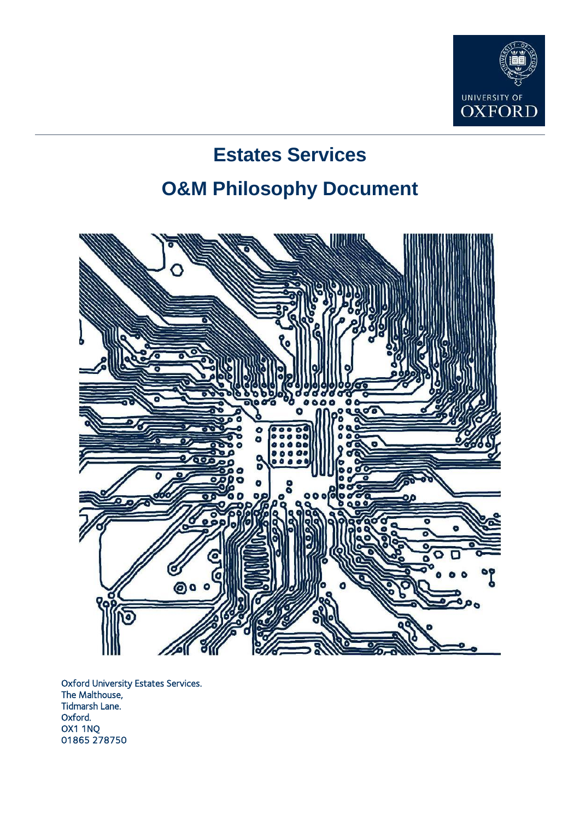

# **Estates Services O&M Philosophy Document**



Oxford University Estates Services. The Malthouse, Tidmarsh Lane. Oxford. OX1 1NQ 01865 278750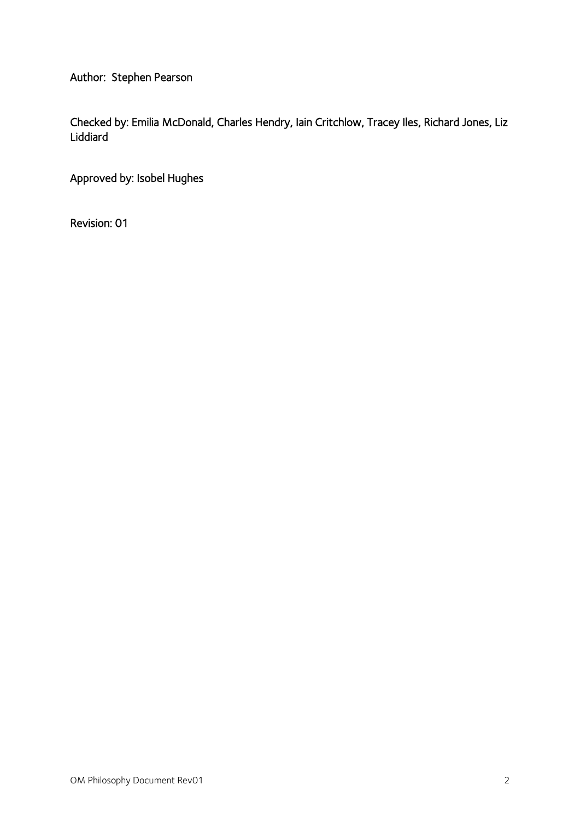Author: Stephen Pearson

Checked by: Emilia McDonald, Charles Hendry, Iain Critchlow, Tracey Iles, Richard Jones, Liz Liddiard

Approved by: Isobel Hughes

Revision: 01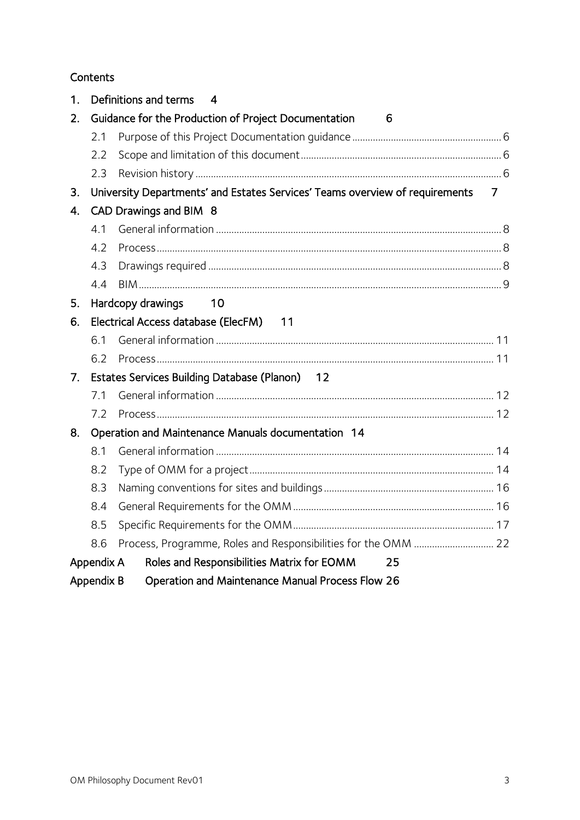# Contents

| 1. |            | Definitions and terms<br>4                                                   |                |
|----|------------|------------------------------------------------------------------------------|----------------|
| 2. |            | Guidance for the Production of Project Documentation<br>6                    |                |
|    | 2.1        |                                                                              |                |
|    | 2.2        |                                                                              |                |
|    | 2.3        |                                                                              |                |
| 3. |            | University Departments' and Estates Services' Teams overview of requirements | $\overline{7}$ |
| 4. |            | CAD Drawings and BIM 8                                                       |                |
|    | 4.1        |                                                                              |                |
|    | 4.2        |                                                                              |                |
|    | 4.3        |                                                                              |                |
|    | 4.4        |                                                                              |                |
| 5. |            | Hardcopy drawings<br>10                                                      |                |
| 6. |            | Electrical Access database (ElecFM) 11                                       |                |
|    | 6.1        |                                                                              |                |
|    | 6.2        |                                                                              |                |
| 7. |            | Estates Services Building Database (Planon) 12                               |                |
|    | 7.1        |                                                                              |                |
|    | 7.2        |                                                                              |                |
| 8. |            | Operation and Maintenance Manuals documentation 14                           |                |
|    | 8.1        |                                                                              |                |
|    | 8.2        |                                                                              |                |
|    | 8.3        |                                                                              |                |
|    | 8.4        |                                                                              |                |
|    | 8.5        |                                                                              |                |
|    | 8.6        |                                                                              |                |
|    | Appendix A | Roles and Responsibilities Matrix for EOMM<br>25                             |                |
|    | Appendix B | Operation and Maintenance Manual Process Flow 26                             |                |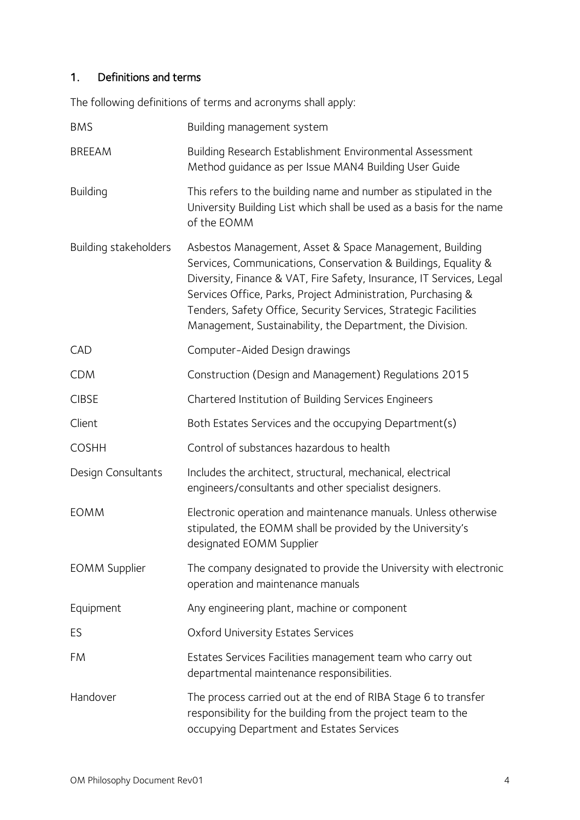# <span id="page-3-0"></span>1. Definitions and terms

The following definitions of terms and acronyms shall apply:

| <b>BMS</b>            | Building management system                                                                                                                                                                                                                                                                                                                                                                        |
|-----------------------|---------------------------------------------------------------------------------------------------------------------------------------------------------------------------------------------------------------------------------------------------------------------------------------------------------------------------------------------------------------------------------------------------|
| <b>BREEAM</b>         | Building Research Establishment Environmental Assessment<br>Method guidance as per Issue MAN4 Building User Guide                                                                                                                                                                                                                                                                                 |
| <b>Building</b>       | This refers to the building name and number as stipulated in the<br>University Building List which shall be used as a basis for the name<br>of the EOMM                                                                                                                                                                                                                                           |
| Building stakeholders | Asbestos Management, Asset & Space Management, Building<br>Services, Communications, Conservation & Buildings, Equality &<br>Diversity, Finance & VAT, Fire Safety, Insurance, IT Services, Legal<br>Services Office, Parks, Project Administration, Purchasing &<br>Tenders, Safety Office, Security Services, Strategic Facilities<br>Management, Sustainability, the Department, the Division. |
| <b>CAD</b>            | Computer-Aided Design drawings                                                                                                                                                                                                                                                                                                                                                                    |
| <b>CDM</b>            | Construction (Design and Management) Regulations 2015                                                                                                                                                                                                                                                                                                                                             |
| <b>CIBSE</b>          | Chartered Institution of Building Services Engineers                                                                                                                                                                                                                                                                                                                                              |
| Client                | Both Estates Services and the occupying Department(s)                                                                                                                                                                                                                                                                                                                                             |
| <b>COSHH</b>          | Control of substances hazardous to health                                                                                                                                                                                                                                                                                                                                                         |
| Design Consultants    | Includes the architect, structural, mechanical, electrical<br>engineers/consultants and other specialist designers.                                                                                                                                                                                                                                                                               |
| <b>EOMM</b>           | Electronic operation and maintenance manuals. Unless otherwise<br>stipulated, the EOMM shall be provided by the University's<br>designated EOMM Supplier                                                                                                                                                                                                                                          |
| <b>EOMM Supplier</b>  | The company designated to provide the University with electronic<br>operation and maintenance manuals                                                                                                                                                                                                                                                                                             |
| Equipment             | Any engineering plant, machine or component                                                                                                                                                                                                                                                                                                                                                       |
| ES                    | Oxford University Estates Services                                                                                                                                                                                                                                                                                                                                                                |
| FM                    | Estates Services Facilities management team who carry out<br>departmental maintenance responsibilities.                                                                                                                                                                                                                                                                                           |
| Handover              | The process carried out at the end of RIBA Stage 6 to transfer<br>responsibility for the building from the project team to the<br>occupying Department and Estates Services                                                                                                                                                                                                                       |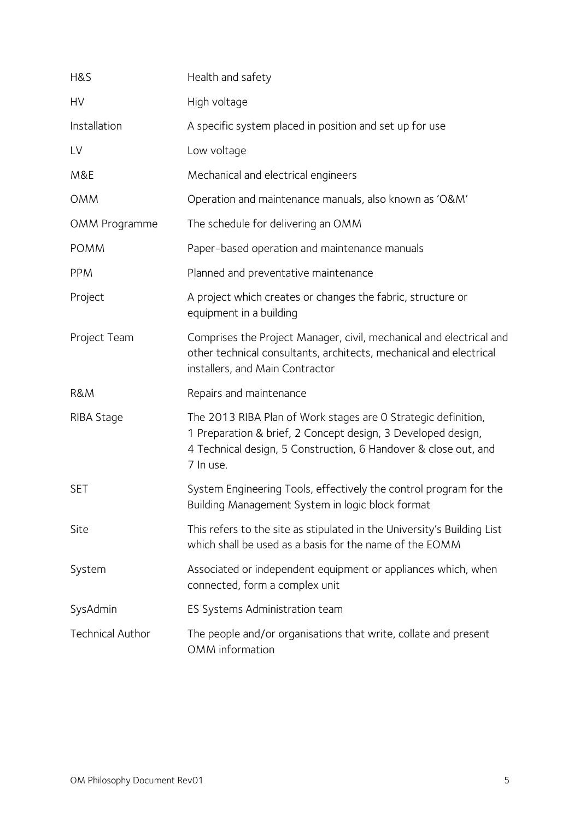| H&S                     | Health and safety                                                                                                                                                                                             |
|-------------------------|---------------------------------------------------------------------------------------------------------------------------------------------------------------------------------------------------------------|
| HV                      | High voltage                                                                                                                                                                                                  |
| Installation            | A specific system placed in position and set up for use                                                                                                                                                       |
| LV                      | Low voltage                                                                                                                                                                                                   |
| M&E                     | Mechanical and electrical engineers                                                                                                                                                                           |
| <b>OMM</b>              | Operation and maintenance manuals, also known as 'O&M'                                                                                                                                                        |
| OMM Programme           | The schedule for delivering an OMM                                                                                                                                                                            |
| <b>POMM</b>             | Paper-based operation and maintenance manuals                                                                                                                                                                 |
| <b>PPM</b>              | Planned and preventative maintenance                                                                                                                                                                          |
| Project                 | A project which creates or changes the fabric, structure or<br>equipment in a building                                                                                                                        |
| Project Team            | Comprises the Project Manager, civil, mechanical and electrical and<br>other technical consultants, architects, mechanical and electrical<br>installers, and Main Contractor                                  |
| <b>R&amp;M</b>          | Repairs and maintenance                                                                                                                                                                                       |
| RIBA Stage              | The 2013 RIBA Plan of Work stages are 0 Strategic definition,<br>1 Preparation & brief, 2 Concept design, 3 Developed design,<br>4 Technical design, 5 Construction, 6 Handover & close out, and<br>7 In use. |
| <b>SET</b>              | System Engineering Tools, effectively the control program for the<br>Building Management System in logic block format                                                                                         |
| Site                    | This refers to the site as stipulated in the University's Building List<br>which shall be used as a basis for the name of the EOMM                                                                            |
| System                  | Associated or independent equipment or appliances which, when<br>connected, form a complex unit                                                                                                               |
| SysAdmin                | ES Systems Administration team                                                                                                                                                                                |
| <b>Technical Author</b> | The people and/or organisations that write, collate and present<br>OMM information                                                                                                                            |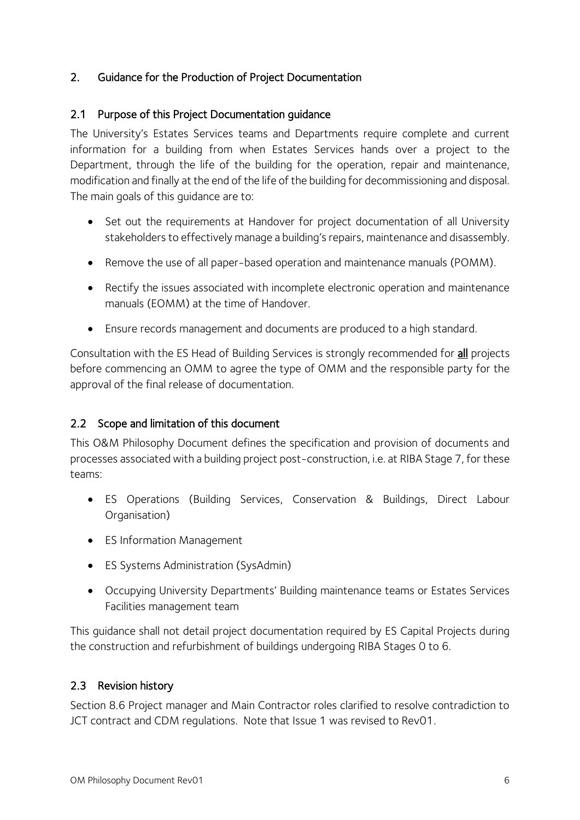# <span id="page-5-0"></span>2. Guidance for the Production of Project Documentation

# <span id="page-5-1"></span>2.1 Purpose of this Project Documentation guidance

The University's Estates Services teams and Departments require complete and current information for a building from when Estates Services hands over a project to the Department, through the life of the building for the operation, repair and maintenance, modification and finally at the end of the life of the building for decommissioning and disposal. The main goals of this guidance are to:

- Set out the requirements at Handover for project documentation of all University stakeholders to effectively manage a building's repairs, maintenance and disassembly.
- Remove the use of all paper-based operation and maintenance manuals (POMM).
- Rectify the issues associated with incomplete electronic operation and maintenance manuals (EOMM) at the time of Handover.
- Ensure records management and documents are produced to a high standard.

Consultation with the ES Head of Building Services is strongly recommended for all projects before commencing an OMM to agree the type of OMM and the responsible party for the approval of the final release of documentation.

# <span id="page-5-2"></span>2.2 Scope and limitation of this document

This O&M Philosophy Document defines the specification and provision of documents and processes associated with a building project post-construction, i.e. at RIBA Stage 7, for these teams:

- ES Operations (Building Services, Conservation & Buildings, Direct Labour Organisation)
- ES Information Management
- ES Systems Administration (SysAdmin)
- Occupying University Departments' Building maintenance teams or Estates Services Facilities management team

This guidance shall not detail project documentation required by ES Capital Projects during the construction and refurbishment of buildings undergoing RIBA Stages 0 to 6.

# <span id="page-5-3"></span>2.3 Revision history

Section 8.6 Project manager and Main Contractor roles clarified to resolve contradiction to JCT contract and CDM regulations. Note that Issue 1 was revised to Rev01.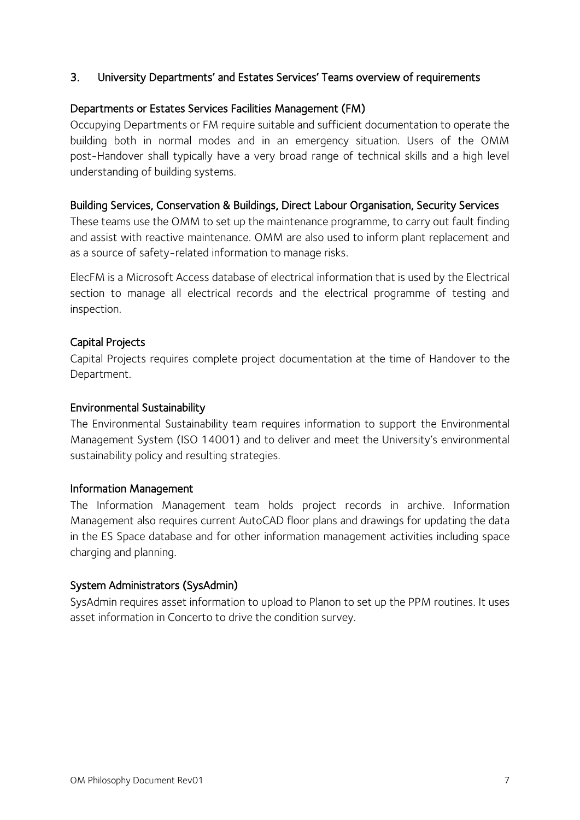## <span id="page-6-0"></span>3. University Departments' and Estates Services' Teams overview of requirements

#### Departments or Estates Services Facilities Management (FM)

Occupying Departments or FM require suitable and sufficient documentation to operate the building both in normal modes and in an emergency situation. Users of the OMM post-Handover shall typically have a very broad range of technical skills and a high level understanding of building systems.

#### Building Services, Conservation & Buildings, Direct Labour Organisation, Security Services

These teams use the OMM to set up the maintenance programme, to carry out fault finding and assist with reactive maintenance. OMM are also used to inform plant replacement and as a source of safety-related information to manage risks.

ElecFM is a Microsoft Access database of electrical information that is used by the Electrical section to manage all electrical records and the electrical programme of testing and inspection.

#### Capital Projects

Capital Projects requires complete project documentation at the time of Handover to the Department.

#### Environmental Sustainability

The Environmental Sustainability team requires information to support the Environmental Management System (ISO 14001) and to deliver and meet the University's environmental sustainability policy and resulting strategies.

#### Information Management

The Information Management team holds project records in archive. Information Management also requires current AutoCAD floor plans and drawings for updating the data in the ES Space database and for other information management activities including space charging and planning.

#### System Administrators (SysAdmin)

SysAdmin requires asset information to upload to Planon to set up the PPM routines. It uses asset information in Concerto to drive the condition survey.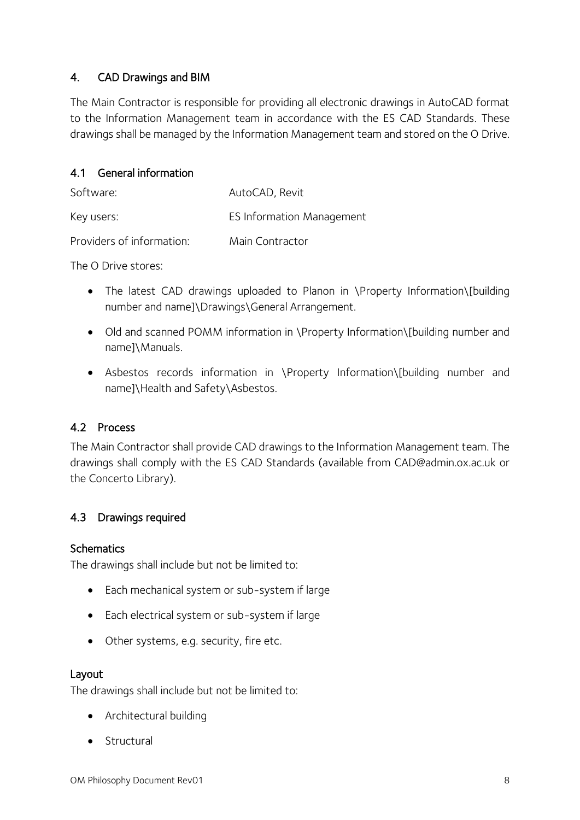# <span id="page-7-0"></span>4. CAD Drawings and BIM

The Main Contractor is responsible for providing all electronic drawings in AutoCAD format to the Information Management team in accordance with the ES CAD Standards. These drawings shall be managed by the Information Management team and stored on the O Drive.

# <span id="page-7-1"></span>4.1 General information

| Software:                 | AutoCAD, Revit                   |
|---------------------------|----------------------------------|
| Key users:                | <b>ES Information Management</b> |
| Providers of information: | Main Contractor                  |

The O Drive stores:

- The latest CAD drawings uploaded to Planon in \Property Information\[building number and name]\Drawings\General Arrangement.
- Old and scanned POMM information in \Property Information\[building number and name]\Manuals.
- Asbestos records information in \Property Information\[building number and name]\Health and Safety\Asbestos.

# <span id="page-7-2"></span>4.2 Process

The Main Contractor shall provide CAD drawings to the Information Management team. The drawings shall comply with the ES CAD Standards (available from CAD@admin.ox.ac.uk or the Concerto Library).

# <span id="page-7-3"></span>4.3 Drawings required

# **Schematics**

The drawings shall include but not be limited to:

- Each mechanical system or sub-system if large
- Each electrical system or sub-system if large
- Other systems, e.g. security, fire etc.

#### Layout

The drawings shall include but not be limited to:

- Architectural building
- Structural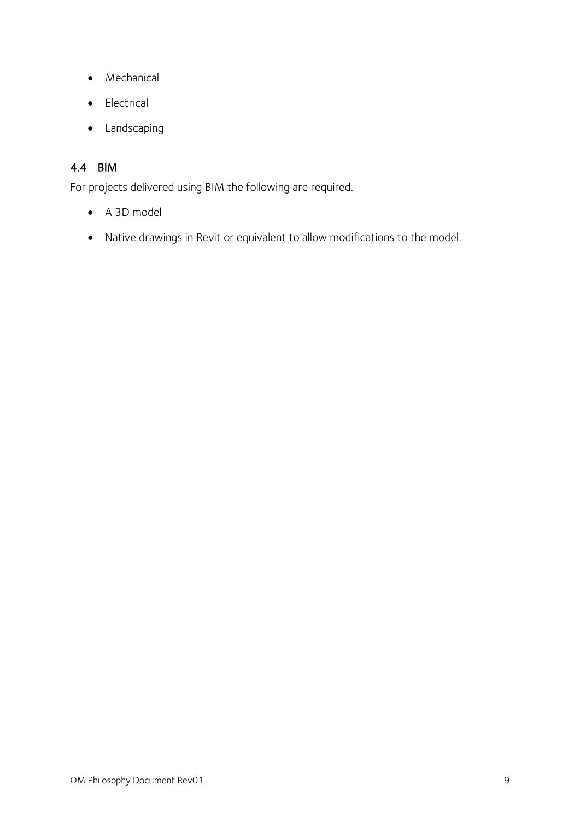- Mechanical
- Electrical
- Landscaping

# <span id="page-8-0"></span>4.4 BIM

For projects delivered using BIM the following are required.

- A 3D model
- Native drawings in Revit or equivalent to allow modifications to the model.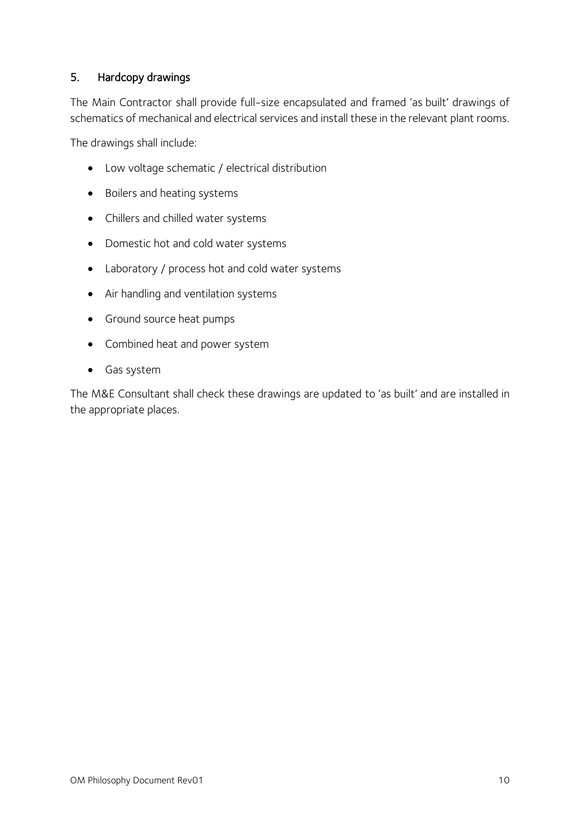# <span id="page-9-0"></span>5. Hardcopy drawings

The Main Contractor shall provide full-size encapsulated and framed 'as built' drawings of schematics of mechanical and electrical services and install these in the relevant plant rooms.

The drawings shall include:

- Low voltage schematic / electrical distribution
- Boilers and heating systems
- Chillers and chilled water systems
- Domestic hot and cold water systems
- Laboratory / process hot and cold water systems
- Air handling and ventilation systems
- Ground source heat pumps
- Combined heat and power system
- Gas system

The M&E Consultant shall check these drawings are updated to 'as built' and are installed in the appropriate places.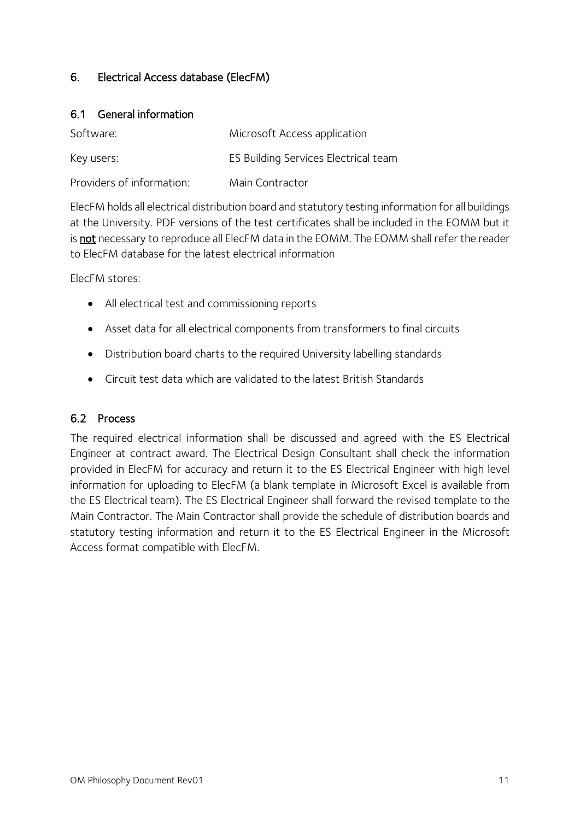# <span id="page-10-0"></span>6. Electrical Access database (ElecFM)

#### <span id="page-10-1"></span>6.1 General information

| Software:                 | Microsoft Access application         |
|---------------------------|--------------------------------------|
| Key users:                | ES Building Services Electrical team |
| Providers of information: | Main Contractor                      |

ElecFM holds all electrical distribution board and statutory testing information for all buildings at the University. PDF versions of the test certificates shall be included in the EOMM but it is not necessary to reproduce all ElecFM data in the EOMM. The EOMM shall refer the reader to ElecFM database for the latest electrical information

ElecFM stores:

- All electrical test and commissioning reports
- Asset data for all electrical components from transformers to final circuits
- Distribution board charts to the required University labelling standards
- Circuit test data which are validated to the latest British Standards

# <span id="page-10-2"></span>6.2 Process

The required electrical information shall be discussed and agreed with the ES Electrical Engineer at contract award. The Electrical Design Consultant shall check the information provided in ElecFM for accuracy and return it to the ES Electrical Engineer with high level information for uploading to ElecFM (a blank template in Microsoft Excel is available from the ES Electrical team). The ES Electrical Engineer shall forward the revised template to the Main Contractor. The Main Contractor shall provide the schedule of distribution boards and statutory testing information and return it to the ES Electrical Engineer in the Microsoft Access format compatible with ElecFM.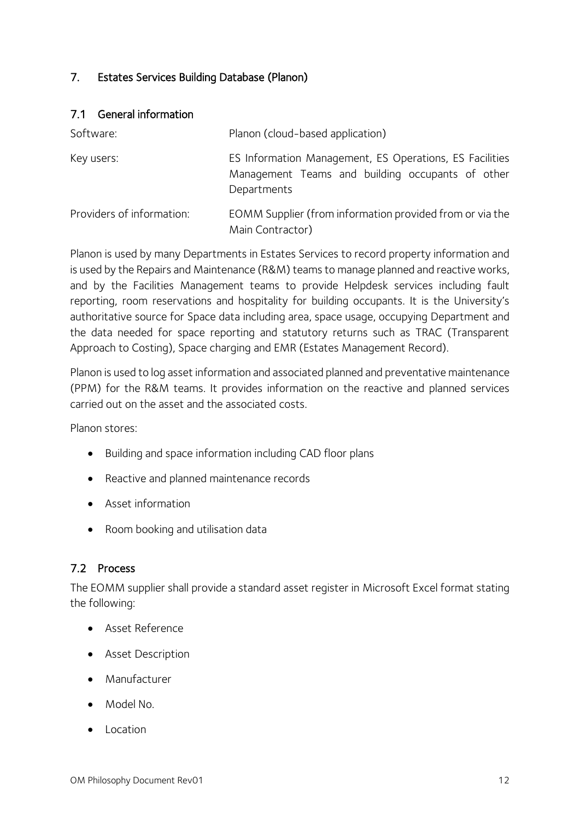# <span id="page-11-0"></span>7. Estates Services Building Database (Planon)

#### <span id="page-11-1"></span>7.1 General information

| Software:                 | Planon (cloud-based application)                                                                                           |
|---------------------------|----------------------------------------------------------------------------------------------------------------------------|
| Key users:                | ES Information Management, ES Operations, ES Facilities<br>Management Teams and building occupants of other<br>Departments |
| Providers of information: | EOMM Supplier (from information provided from or via the<br>Main Contractor)                                               |

Planon is used by many Departments in Estates Services to record property information and is used by the Repairs and Maintenance (R&M) teams to manage planned and reactive works, and by the Facilities Management teams to provide Helpdesk services including fault reporting, room reservations and hospitality for building occupants. It is the University's authoritative source for Space data including area, space usage, occupying Department and the data needed for space reporting and statutory returns such as TRAC (Transparent Approach to Costing), Space charging and EMR (Estates Management Record).

Planon is used to log asset information and associated planned and preventative maintenance (PPM) for the R&M teams. It provides information on the reactive and planned services carried out on the asset and the associated costs.

Planon stores:

- Building and space information including CAD floor plans
- Reactive and planned maintenance records
- Asset information
- Room booking and utilisation data

#### <span id="page-11-2"></span>7.2 Process

The EOMM supplier shall provide a standard asset register in Microsoft Excel format stating the following:

- Asset Reference
- **•** Asset Description
- Manufacturer
- Model No.
- Location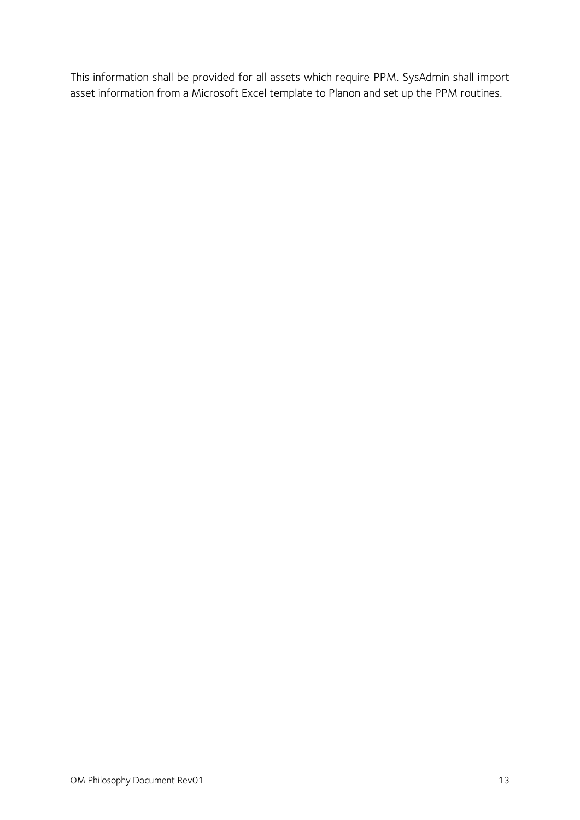This information shall be provided for all assets which require PPM. SysAdmin shall import asset information from a Microsoft Excel template to Planon and set up the PPM routines.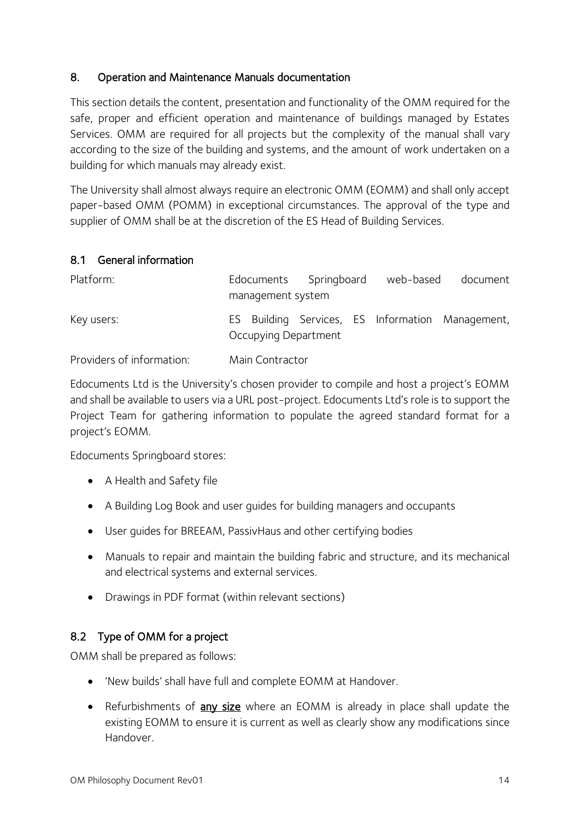# <span id="page-13-0"></span>8. Operation and Maintenance Manuals documentation

This section details the content, presentation and functionality of the OMM required for the safe, proper and efficient operation and maintenance of buildings managed by Estates Services. OMM are required for all projects but the complexity of the manual shall vary according to the size of the building and systems, and the amount of work undertaken on a building for which manuals may already exist.

The University shall almost always require an electronic OMM (EOMM) and shall only accept paper-based OMM (POMM) in exceptional circumstances. The approval of the type and supplier of OMM shall be at the discretion of the ES Head of Building Services.

# <span id="page-13-1"></span>8.1 General information

| Platform:                 | Edocuments<br>management system | Springboard | web-based | document                                         |
|---------------------------|---------------------------------|-------------|-----------|--------------------------------------------------|
| Key users:                | Occupying Department            |             |           | ES Building Services, ES Information Management, |
| Providers of information: | Main Contractor                 |             |           |                                                  |

Edocuments Ltd is the University's chosen provider to compile and host a project's EOMM and shall be available to users via a URL post-project. Edocuments Ltd's role is to support the Project Team for gathering information to populate the agreed standard format for a project's EOMM.

Edocuments Springboard stores:

- A Health and Safety file
- A Building Log Book and user guides for building managers and occupants
- User guides for BREEAM, PassivHaus and other certifying bodies
- Manuals to repair and maintain the building fabric and structure, and its mechanical and electrical systems and external services.
- Drawings in PDF format (within relevant sections)

# <span id="page-13-2"></span>8.2 Type of OMM for a project

OMM shall be prepared as follows:

- 'New builds' shall have full and complete EOMM at Handover.
- Refurbishments of **any size** where an EOMM is already in place shall update the existing EOMM to ensure it is current as well as clearly show any modifications since Handover.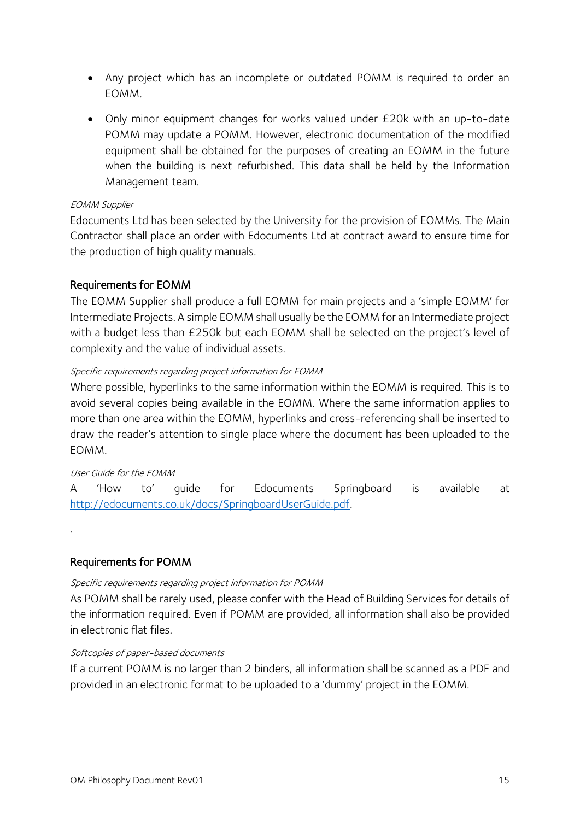- Any project which has an incomplete or outdated POMM is required to order an EOMM.
- Only minor equipment changes for works valued under £20k with an up-to-date POMM may update a POMM. However, electronic documentation of the modified equipment shall be obtained for the purposes of creating an EOMM in the future when the building is next refurbished. This data shall be held by the Information Management team.

#### EOMM Supplier

Edocuments Ltd has been selected by the University for the provision of EOMMs. The Main Contractor shall place an order with Edocuments Ltd at contract award to ensure time for the production of high quality manuals.

## Requirements for EOMM

The EOMM Supplier shall produce a full EOMM for main projects and a 'simple EOMM' for Intermediate Projects. A simple EOMM shall usually be the EOMM for an Intermediate project with a budget less than £250k but each EOMM shall be selected on the project's level of complexity and the value of individual assets.

#### Specific requirements regarding project information for EOMM

Where possible, hyperlinks to the same information within the EOMM is required. This is to avoid several copies being available in the EOMM. Where the same information applies to more than one area within the EOMM, hyperlinks and cross-referencing shall be inserted to draw the reader's attention to single place where the document has been uploaded to the EOMM.

#### User Guide for the EOMM

.

A 'How to' guide for Edocuments Springboard is available at [http://edocuments.co.uk/docs/SpringboardUserGuide.pdf.](http://edocuments.co.uk/docs/SpringboardUserGuide.pdf)

#### Requirements for POMM

#### Specific requirements regarding project information for POMM

As POMM shall be rarely used, please confer with the Head of Building Services for details of the information required. Even if POMM are provided, all information shall also be provided in electronic flat files.

#### Softcopies of paper-based documents

If a current POMM is no larger than 2 binders, all information shall be scanned as a PDF and provided in an electronic format to be uploaded to a 'dummy' project in the EOMM.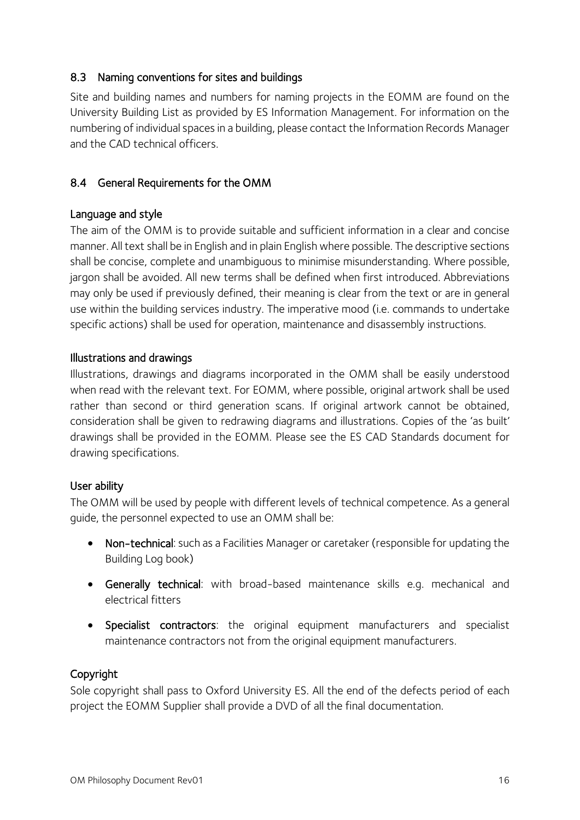# <span id="page-15-0"></span>8.3 Naming conventions for sites and buildings

Site and building names and numbers for naming projects in the EOMM are found on the University Building List as provided by ES Information Management. For information on the numbering of individual spaces in a building, please contact the Information Records Manager and the CAD technical officers.

# <span id="page-15-1"></span>8.4 General Requirements for the OMM

# Language and style

The aim of the OMM is to provide suitable and sufficient information in a clear and concise manner. All text shall be in English and in plain English where possible. The descriptive sections shall be concise, complete and unambiguous to minimise misunderstanding. Where possible, jargon shall be avoided. All new terms shall be defined when first introduced. Abbreviations may only be used if previously defined, their meaning is clear from the text or are in general use within the building services industry. The imperative mood (i.e. commands to undertake specific actions) shall be used for operation, maintenance and disassembly instructions.

# Illustrations and drawings

Illustrations, drawings and diagrams incorporated in the OMM shall be easily understood when read with the relevant text. For EOMM, where possible, original artwork shall be used rather than second or third generation scans. If original artwork cannot be obtained, consideration shall be given to redrawing diagrams and illustrations. Copies of the 'as built' drawings shall be provided in the EOMM. Please see the ES CAD Standards document for drawing specifications.

# User ability

The OMM will be used by people with different levels of technical competence. As a general guide, the personnel expected to use an OMM shall be:

- Non-technical: such as a Facilities Manager or caretaker (responsible for updating the Building Log book)
- Generally technical: with broad-based maintenance skills e.g. mechanical and electrical fitters
- Specialist contractors: the original equipment manufacturers and specialist maintenance contractors not from the original equipment manufacturers.

# Copyright

Sole copyright shall pass to Oxford University ES. All the end of the defects period of each project the EOMM Supplier shall provide a DVD of all the final documentation.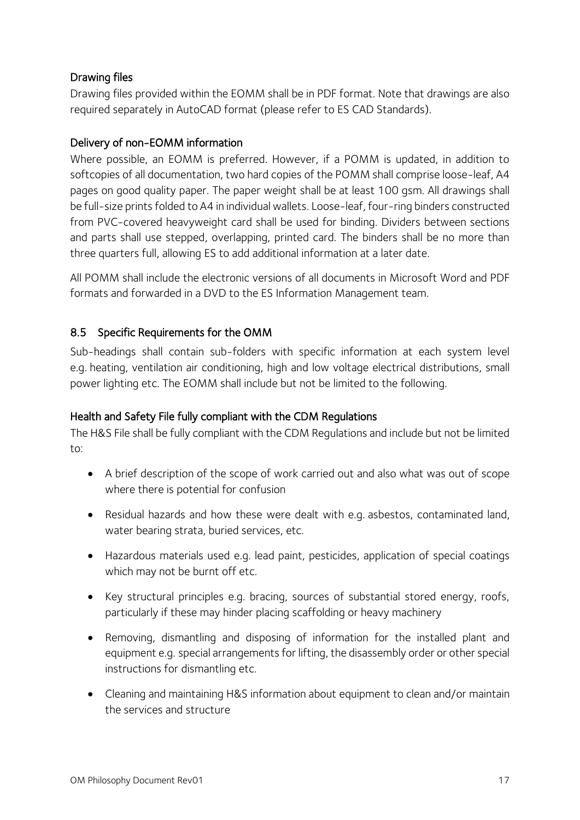# Drawing files

Drawing files provided within the EOMM shall be in PDF format. Note that drawings are also required separately in AutoCAD format (please refer to ES CAD Standards).

# Delivery of non-EOMM information

Where possible, an EOMM is preferred. However, if a POMM is updated, in addition to softcopies of all documentation, two hard copies of the POMM shall comprise loose-leaf, A4 pages on good quality paper. The paper weight shall be at least 100 gsm. All drawings shall be full-size prints folded to A4 in individual wallets. Loose-leaf, four-ring binders constructed from PVC-covered heavyweight card shall be used for binding. Dividers between sections and parts shall use stepped, overlapping, printed card. The binders shall be no more than three quarters full, allowing ES to add additional information at a later date.

All POMM shall include the electronic versions of all documents in Microsoft Word and PDF formats and forwarded in a DVD to the ES Information Management team.

# <span id="page-16-0"></span>8.5 Specific Requirements for the OMM

Sub-headings shall contain sub-folders with specific information at each system level e.g. heating, ventilation air conditioning, high and low voltage electrical distributions, small power lighting etc. The EOMM shall include but not be limited to the following.

# Health and Safety File fully compliant with the CDM Regulations

The H&S File shall be fully compliant with the CDM Regulations and include but not be limited to:

- A brief description of the scope of work carried out and also what was out of scope where there is potential for confusion
- Residual hazards and how these were dealt with e.g. asbestos, contaminated land, water bearing strata, buried services, etc.
- Hazardous materials used e.g. lead paint, pesticides, application of special coatings which may not be burnt off etc.
- Key structural principles e.g. bracing, sources of substantial stored energy, roofs, particularly if these may hinder placing scaffolding or heavy machinery
- Removing, dismantling and disposing of information for the installed plant and equipment e.g. special arrangements for lifting, the disassembly order or other special instructions for dismantling etc.
- Cleaning and maintaining H&S information about equipment to clean and/or maintain the services and structure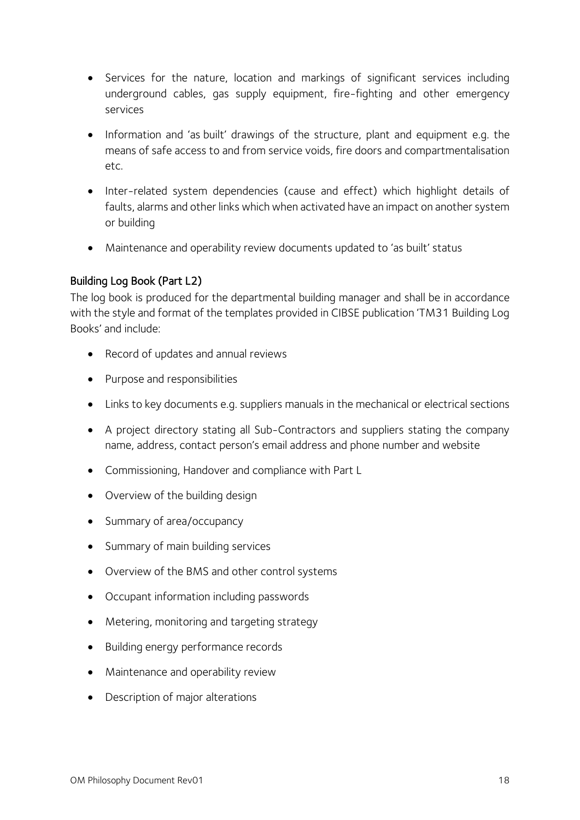- Services for the nature, location and markings of significant services including underground cables, gas supply equipment, fire-fighting and other emergency services
- Information and 'as built' drawings of the structure, plant and equipment e.g. the means of safe access to and from service voids, fire doors and compartmentalisation etc.
- Inter-related system dependencies (cause and effect) which highlight details of faults, alarms and other links which when activated have an impact on another system or building
- Maintenance and operability review documents updated to 'as built' status

# Building Log Book (Part L2)

The log book is produced for the departmental building manager and shall be in accordance with the style and format of the templates provided in CIBSE publication 'TM31 Building Log Books' and include:

- Record of updates and annual reviews
- Purpose and responsibilities
- Links to key documents e.g. suppliers manuals in the mechanical or electrical sections
- A project directory stating all Sub-Contractors and suppliers stating the company name, address, contact person's email address and phone number and website
- Commissioning, Handover and compliance with Part L
- Overview of the building design
- Summary of area/occupancy
- Summary of main building services
- Overview of the BMS and other control systems
- Occupant information including passwords
- Metering, monitoring and targeting strategy
- Building energy performance records
- Maintenance and operability review
- Description of major alterations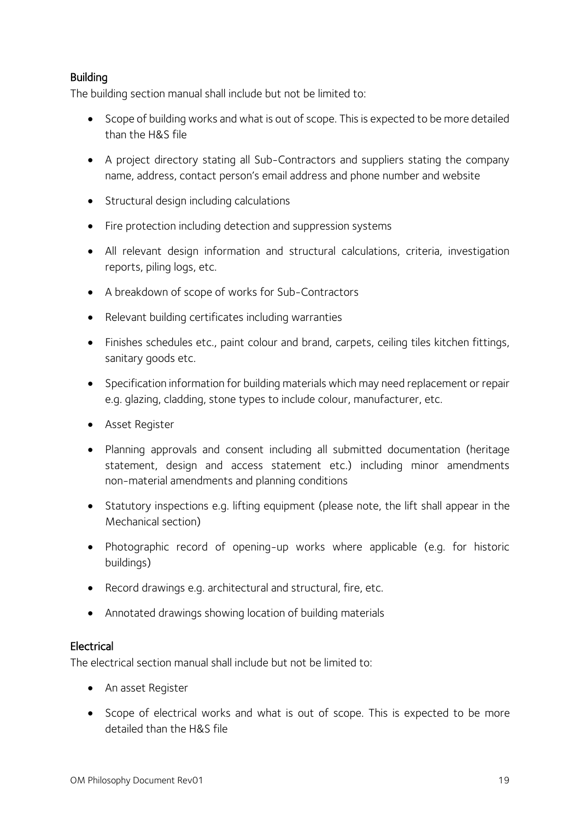# Building

The building section manual shall include but not be limited to:

- Scope of building works and what is out of scope. This is expected to be more detailed than the H&S file
- A project directory stating all Sub-Contractors and suppliers stating the company name, address, contact person's email address and phone number and website
- Structural design including calculations
- Fire protection including detection and suppression systems
- All relevant design information and structural calculations, criteria, investigation reports, piling logs, etc.
- A breakdown of scope of works for Sub-Contractors
- Relevant building certificates including warranties
- Finishes schedules etc., paint colour and brand, carpets, ceiling tiles kitchen fittings, sanitary goods etc.
- Specification information for building materials which may need replacement or repair e.g. glazing, cladding, stone types to include colour, manufacturer, etc.
- **•** Asset Register
- Planning approvals and consent including all submitted documentation (heritage statement, design and access statement etc.) including minor amendments non-material amendments and planning conditions
- Statutory inspections e.g. lifting equipment (please note, the lift shall appear in the Mechanical section)
- Photographic record of opening-up works where applicable (e.g. for historic buildings)
- Record drawings e.g. architectural and structural, fire, etc.
- Annotated drawings showing location of building materials

# **Electrical**

The electrical section manual shall include but not be limited to:

- An asset Register
- Scope of electrical works and what is out of scope. This is expected to be more detailed than the H&S file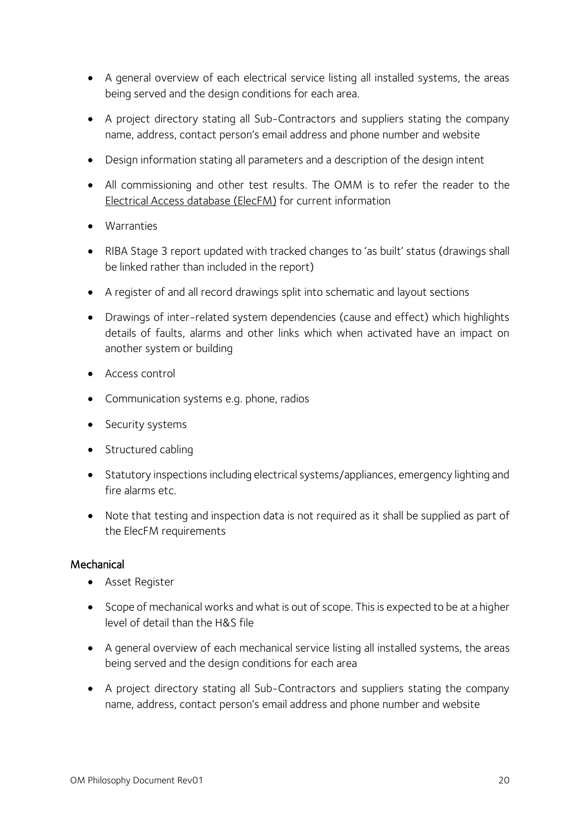- A general overview of each electrical service listing all installed systems, the areas being served and the design conditions for each area.
- A project directory stating all Sub-Contractors and suppliers stating the company name, address, contact person's email address and phone number and website
- Design information stating all parameters and a description of the design intent
- All commissioning and other test results. The OMM is to refer the reader to the [Electrical Access database \(ElecFM\)](#page-10-0) for current information
- Warranties
- RIBA Stage 3 report updated with tracked changes to 'as built' status (drawings shall be linked rather than included in the report)
- A register of and all record drawings split into schematic and layout sections
- Drawings of inter-related system dependencies (cause and effect) which highlights details of faults, alarms and other links which when activated have an impact on another system or building
- Access control
- Communication systems e.g. phone, radios
- Security systems
- Structured cabling
- Statutory inspections including electrical systems/appliances, emergency lighting and fire alarms etc.
- Note that testing and inspection data is not required as it shall be supplied as part of the ElecFM requirements

# **Mechanical**

- Asset Register
- Scope of mechanical works and what is out of scope. This is expected to be at a higher level of detail than the H&S file
- A general overview of each mechanical service listing all installed systems, the areas being served and the design conditions for each area
- A project directory stating all Sub-Contractors and suppliers stating the company name, address, contact person's email address and phone number and website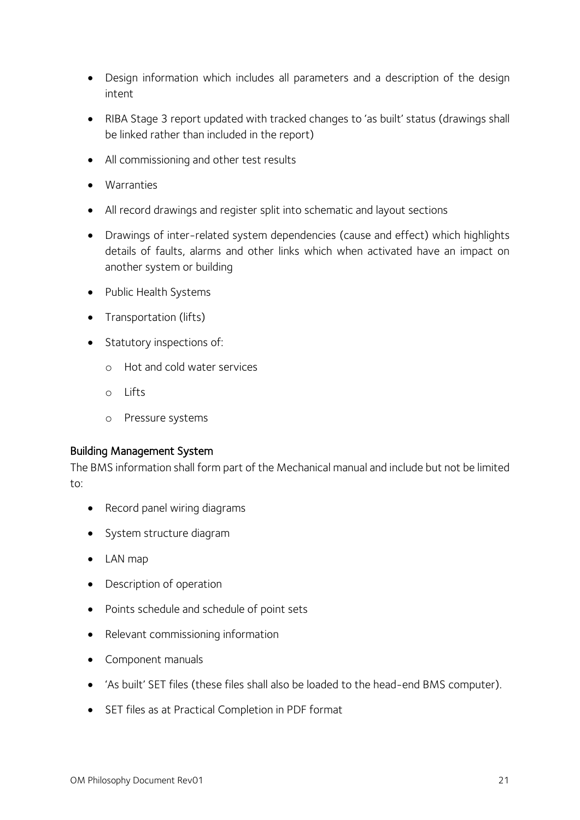- Design information which includes all parameters and a description of the design intent
- RIBA Stage 3 report updated with tracked changes to 'as built' status (drawings shall be linked rather than included in the report)
- All commissioning and other test results
- Warranties
- All record drawings and register split into schematic and layout sections
- Drawings of inter-related system dependencies (cause and effect) which highlights details of faults, alarms and other links which when activated have an impact on another system or building
- Public Health Systems
- Transportation (lifts)
- Statutory inspections of:
	- o Hot and cold water services
	- o Lifts
	- o Pressure systems

#### Building Management System

The BMS information shall form part of the Mechanical manual and include but not be limited to:

- Record panel wiring diagrams
- System structure diagram
- LAN map
- Description of operation
- Points schedule and schedule of point sets
- Relevant commissioning information
- Component manuals
- 'As built' SET files (these files shall also be loaded to the head-end BMS computer).
- SET files as at Practical Completion in PDF format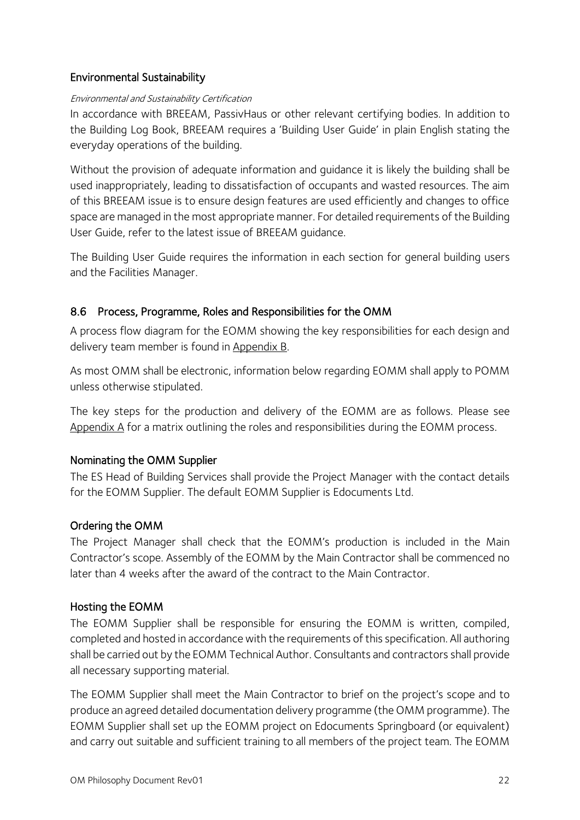# Environmental Sustainability

#### Environmental and Sustainability Certification

In accordance with BREEAM, PassivHaus or other relevant certifying bodies. In addition to the Building Log Book, BREEAM requires a 'Building User Guide' in plain English stating the everyday operations of the building.

Without the provision of adequate information and guidance it is likely the building shall be used inappropriately, leading to dissatisfaction of occupants and wasted resources. The aim of this BREEAM issue is to ensure design features are used efficiently and changes to office space are managed in the most appropriate manner. For detailed requirements of the Building User Guide, refer to the latest issue of BREEAM guidance.

The Building User Guide requires the information in each section for general building users and the Facilities Manager.

# <span id="page-21-0"></span>8.6 Process, Programme, Roles and Responsibilities for the OMM

A process flow diagram for the EOMM showing the key responsibilities for each design and delivery team member is found in [Appendix B.](#page-25-0)

As most OMM shall be electronic, information below regarding EOMM shall apply to POMM unless otherwise stipulated.

The key steps for the production and delivery of the EOMM are as follows. Please see [Appendix A](#page-24-0) for a matrix outlining the roles and responsibilities during the EOMM process.

# Nominating the OMM Supplier

The ES Head of Building Services shall provide the Project Manager with the contact details for the EOMM Supplier. The default EOMM Supplier is Edocuments Ltd.

# Ordering the OMM

The Project Manager shall check that the EOMM's production is included in the Main Contractor's scope. Assembly of the EOMM by the Main Contractor shall be commenced no later than 4 weeks after the award of the contract to the Main Contractor.

# Hosting the EOMM

The EOMM Supplier shall be responsible for ensuring the EOMM is written, compiled, completed and hosted in accordance with the requirements of this specification. All authoring shall be carried out by the EOMM Technical Author. Consultants and contractors shall provide all necessary supporting material.

The EOMM Supplier shall meet the Main Contractor to brief on the project's scope and to produce an agreed detailed documentation delivery programme (the OMM programme). The EOMM Supplier shall set up the EOMM project on Edocuments Springboard (or equivalent) and carry out suitable and sufficient training to all members of the project team. The EOMM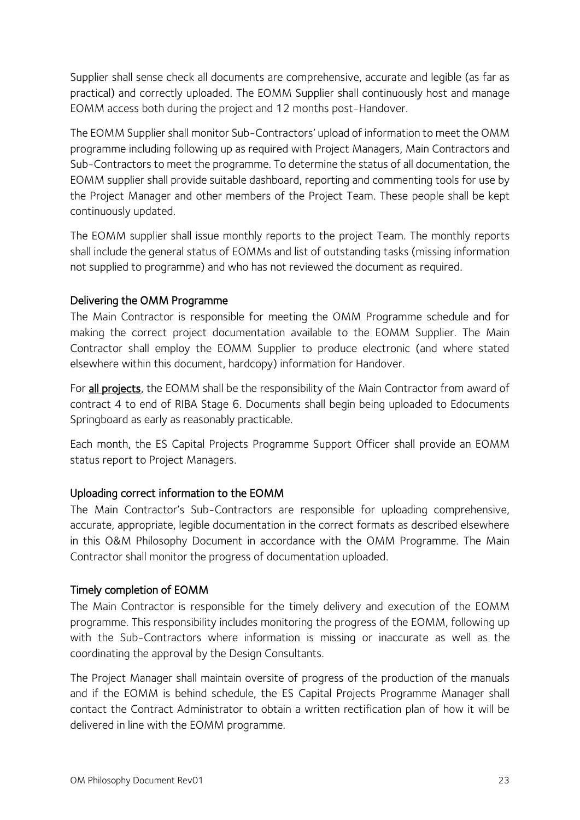Supplier shall sense check all documents are comprehensive, accurate and legible (as far as practical) and correctly uploaded. The EOMM Supplier shall continuously host and manage EOMM access both during the project and 12 months post-Handover.

The EOMM Supplier shall monitor Sub-Contractors' upload of information to meet the OMM programme including following up as required with Project Managers, Main Contractors and Sub-Contractors to meet the programme. To determine the status of all documentation, the EOMM supplier shall provide suitable dashboard, reporting and commenting tools for use by the Project Manager and other members of the Project Team. These people shall be kept continuously updated.

The EOMM supplier shall issue monthly reports to the project Team. The monthly reports shall include the general status of EOMMs and list of outstanding tasks (missing information not supplied to programme) and who has not reviewed the document as required.

# Delivering the OMM Programme

The Main Contractor is responsible for meeting the OMM Programme schedule and for making the correct project documentation available to the EOMM Supplier. The Main Contractor shall employ the EOMM Supplier to produce electronic (and where stated elsewhere within this document, hardcopy) information for Handover.

For all projects, the EOMM shall be the responsibility of the Main Contractor from award of contract 4 to end of RIBA Stage 6. Documents shall begin being uploaded to Edocuments Springboard as early as reasonably practicable.

Each month, the ES Capital Projects Programme Support Officer shall provide an EOMM status report to Project Managers.

# Uploading correct information to the EOMM

The Main Contractor's Sub-Contractors are responsible for uploading comprehensive, accurate, appropriate, legible documentation in the correct formats as described elsewhere in this O&M Philosophy Document in accordance with the OMM Programme. The Main Contractor shall monitor the progress of documentation uploaded.

# Timely completion of EOMM

The Main Contractor is responsible for the timely delivery and execution of the EOMM programme. This responsibility includes monitoring the progress of the EOMM, following up with the Sub-Contractors where information is missing or inaccurate as well as the coordinating the approval by the Design Consultants.

The Project Manager shall maintain oversite of progress of the production of the manuals and if the EOMM is behind schedule, the ES Capital Projects Programme Manager shall contact the Contract Administrator to obtain a written rectification plan of how it will be delivered in line with the EOMM programme.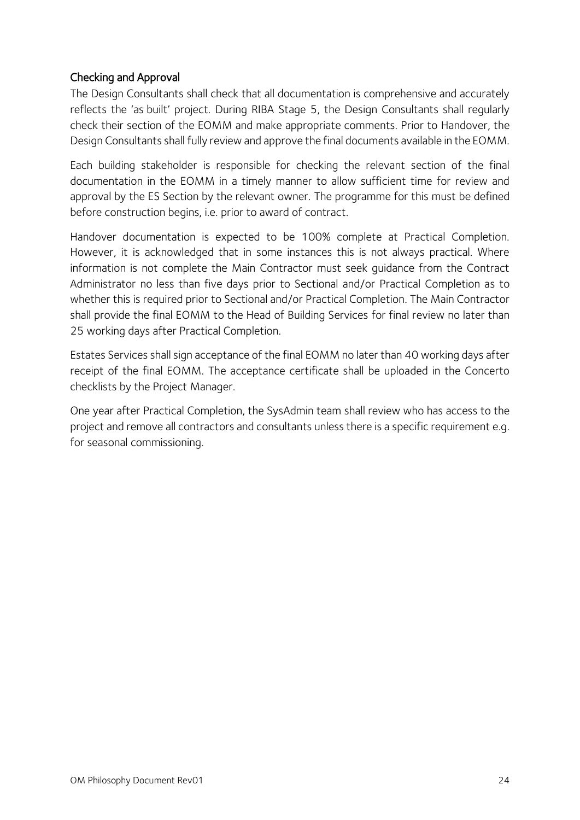# Checking and Approval

The Design Consultants shall check that all documentation is comprehensive and accurately reflects the 'as built' project. During RIBA Stage 5, the Design Consultants shall regularly check their section of the EOMM and make appropriate comments. Prior to Handover, the Design Consultants shall fully review and approve the final documents available in the EOMM.

Each building stakeholder is responsible for checking the relevant section of the final documentation in the EOMM in a timely manner to allow sufficient time for review and approval by the ES Section by the relevant owner. The programme for this must be defined before construction begins, i.e. prior to award of contract.

Handover documentation is expected to be 100% complete at Practical Completion. However, it is acknowledged that in some instances this is not always practical. Where information is not complete the Main Contractor must seek guidance from the Contract Administrator no less than five days prior to Sectional and/or Practical Completion as to whether this is required prior to Sectional and/or Practical Completion. The Main Contractor shall provide the final EOMM to the Head of Building Services for final review no later than 25 working days after Practical Completion.

Estates Services shall sign acceptance of the final EOMM no later than 40 working days after receipt of the final EOMM. The acceptance certificate shall be uploaded in the Concerto checklists by the Project Manager.

One year after Practical Completion, the SysAdmin team shall review who has access to the project and remove all contractors and consultants unless there is a specific requirement e.g. for seasonal commissioning.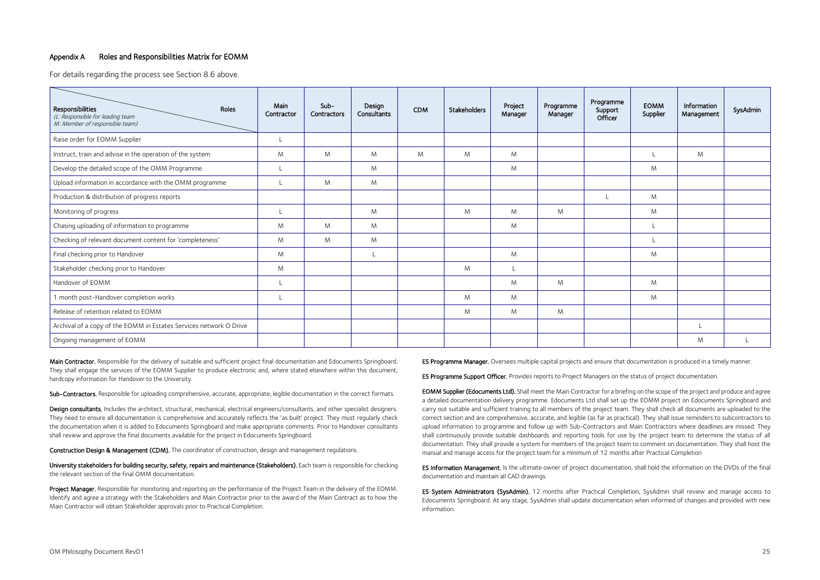#### <span id="page-24-0"></span>Appendix A Roles and Responsibilities Matrix for EOMM

For details regarding the process see Section [8.6 above.](#page-21-0)

| Responsibilities<br>Roles<br>(L: Responsible for leading team<br>M: Member of responsible team) | Main<br>Contractor | Sub-<br>Contractors | Design<br>Consultants | <b>CDM</b> | Stakeholders | Project<br>Manager | Programme<br>Manager | Programme<br>Support<br>Officer | <b>EOMM</b><br>Supplier | Information<br>Management | SysAdmin |
|-------------------------------------------------------------------------------------------------|--------------------|---------------------|-----------------------|------------|--------------|--------------------|----------------------|---------------------------------|-------------------------|---------------------------|----------|
| Raise order for EOMM Supplier                                                                   |                    |                     |                       |            |              |                    |                      |                                 |                         |                           |          |
| Instruct, train and advise in the operation of the system                                       | M                  | M                   | M                     | M          | M            | M                  |                      |                                 |                         | M                         |          |
| Develop the detailed scope of the OMM Programme                                                 |                    |                     | M                     |            |              | M                  |                      |                                 | M                       |                           |          |
| Upload information in accordance with the OMM programme                                         |                    | M                   | M                     |            |              |                    |                      |                                 |                         |                           |          |
| Production & distribution of progress reports                                                   |                    |                     |                       |            |              |                    |                      |                                 | M                       |                           |          |
| Monitoring of progress                                                                          |                    |                     | M                     |            | M            | M                  | M                    |                                 | M                       |                           |          |
| Chasing uploading of information to programme                                                   | M                  | M                   | M                     |            |              | M                  |                      |                                 | L                       |                           |          |
| Checking of relevant document content for 'completeness'                                        | M                  | M                   | M                     |            |              |                    |                      |                                 |                         |                           |          |
| Final checking prior to Handover                                                                | M                  |                     |                       |            |              | M                  |                      |                                 | M                       |                           |          |
| Stakeholder checking prior to Handover                                                          | M                  |                     |                       |            | M            | L                  |                      |                                 |                         |                           |          |
| Handover of EOMM                                                                                |                    |                     |                       |            |              | M                  | M                    |                                 | M                       |                           |          |
| 1 month post-Handover completion works                                                          |                    |                     |                       |            | M            | M                  |                      |                                 | M                       |                           |          |
| Release of retention related to EOMM                                                            |                    |                     |                       |            | M            | M                  | M                    |                                 |                         |                           |          |
| Archival of a copy of the EOMM in Estates Services network O Drive                              |                    |                     |                       |            |              |                    |                      |                                 |                         |                           |          |
| Ongoing management of EOMM                                                                      |                    |                     |                       |            |              |                    |                      |                                 |                         | M                         |          |

Main Contractor. Responsible for the delivery of suitable and sufficient project final documentation and Edocuments Springboard. They shall engage the services of the EOMM Supplier to produce electronic and, where stated elsewhere within this document, hardcopy information for Handover to the University.

Sub-Contractors. Responsible for uploading comprehensive, accurate, appropriate, legible documentation in the correct formats.

Project Manager. Responsible for monitoring and reporting on the performance of the Project Team in the delivery of the EOMM. Identify and agree a strategy with the Stakeholders and Main Contractor prior to the award of the Main Contract as to how the Main Contractor will obtain Stakeholder approvals prior to Practical Completion.

ES Programme Manager. Oversees multiple capital projects and ensure that documentation is produced in a timely manner.

**ES Programme Support Officer.** Provides reports to Project Managers on the status of project documentation.

Design consultants. Includes the architect, structural, mechanical, electrical engineers/consultants, and other specialist designers. They need to ensure all documentation is comprehensive and accurately reflects the 'as built' project. They must regularly check the documentation when it is added to Edocuments Springboard and make appropriate comments. Prior to Handover consultants shall review and approve the final documents available for the project in Edocuments Springboard.

EOMM Supplier (Edocuments Ltd). Shall meet the Main Contractor for a briefing on the scope of the project and produce and agree a detailed documentation delivery programme. Edocuments Ltd shall set up the EOMM project on Edocuments Springboard and carry out suitable and sufficient training to all members of the project team. They shall check all documents are uploaded to the correct section and are comprehensive, accurate, and legible (as far as practical). They shall issue reminders to subcontractors to upload information to programme and follow up with Sub-Contractors and Main Contractors where deadlines are missed. They shall continuously provide suitable dashboards and reporting tools for use by the project team to determine the status of all documentation. They shall provide a system for members of the project team to comment on documentation. They shall host the manual and manage access for the project team for a minimum of 12 months after Practical Completion

Construction Design & Management (CDM). The coordinator of construction, design and management regulations.

University stakeholders for building security, safety, repairs and maintenance (Stakeholders). Each team is responsible for checking the relevant section of the final OMM documentation.

ES Information Management. Is the ultimate owner of project documentation, shall hold the information on the DVDs of the final documentation and maintain all CAD drawings.

ES System Administrators (SysAdmin). 12 months after Practical Completion, SysAdmin shall review and manage access to Edocuments Springboard. At any stage, SysAdmin shall update documentation when informed of changes and provided with new information.